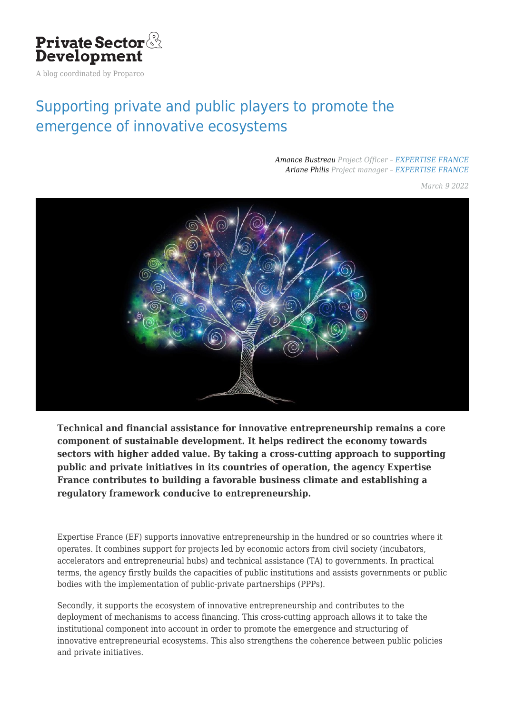

A blog coordinated by Proparco

# [Supporting private and public players to promote the](https://blog.private-sector-and-development.com/2022/03/09/francais-accompagner-les-acteurs-prives-et-publics-pour-favoriser-lemergence-decosystemes-innovants/) [emergence of innovative ecosystems](https://blog.private-sector-and-development.com/2022/03/09/francais-accompagner-les-acteurs-prives-et-publics-pour-favoriser-lemergence-decosystemes-innovants/)

#### *[Amance Bustreau](https://blog.private-sector-and-development.com/author/amance-bustreau/) Project Officer – [EXPERTISE FRANCE](https://blog.private-sector-and-development.com/institution/expertise-france/) [Ariane Philis](https://blog.private-sector-and-development.com/author/ariane-philis/) Project manager – [EXPERTISE FRANCE](https://blog.private-sector-and-development.com/institution/expertise-france/)*

*March 9 2022*



**Technical and financial assistance for innovative entrepreneurship remains a core component of sustainable development. It helps redirect the economy towards sectors with higher added value. By taking a cross-cutting approach to supporting public and private initiatives in its countries of operation, the agency Expertise France contributes to building a favorable business climate and establishing a regulatory framework conducive to entrepreneurship.**

Expertise France (EF) supports innovative entrepreneurship in the hundred or so countries where it operates. It combines support for projects led by economic actors from civil society (incubators, accelerators and entrepreneurial hubs) and technical assistance (TA) to governments. In practical terms, the agency firstly builds the capacities of public institutions and assists governments or public bodies with the implementation of public-private partnerships (PPPs).

Secondly, it supports the ecosystem of innovative entrepreneurship and contributes to the deployment of mechanisms to access financing. This cross-cutting approach allows it to take the institutional component into account in order to promote the emergence and structuring of innovative entrepreneurial ecosystems. This also strengthens the coherence between public policies and private initiatives.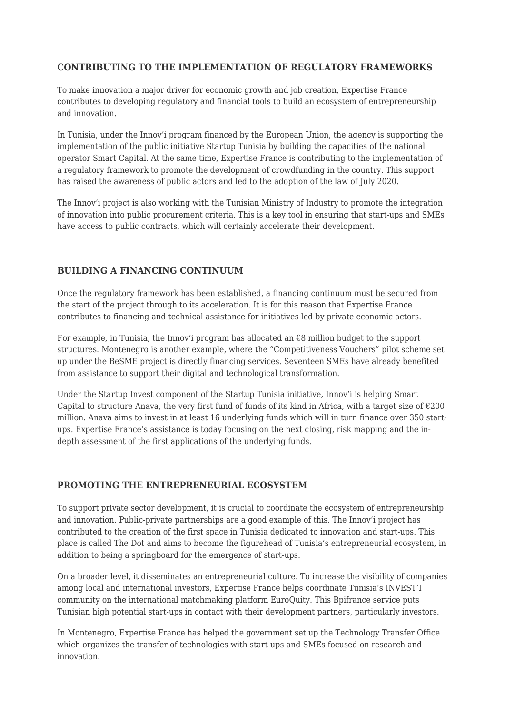#### **CONTRIBUTING TO THE IMPLEMENTATION OF REGULATORY FRAMEWORKS**

To make innovation a major driver for economic growth and job creation, Expertise France contributes to developing regulatory and financial tools to build an ecosystem of entrepreneurship and innovation.

In Tunisia, under the Innov'i program financed by the European Union, the agency is supporting the implementation of the public initiative Startup Tunisia by building the capacities of the national operator Smart Capital. At the same time, Expertise France is contributing to the implementation of a regulatory framework to promote the development of crowdfunding in the country. This support has raised the awareness of public actors and led to the adoption of the law of July 2020.

The Innov'i project is also working with the Tunisian Ministry of Industry to promote the integration of innovation into public procurement criteria. This is a key tool in ensuring that start-ups and SMEs have access to public contracts, which will certainly accelerate their development.

#### **BUILDING A FINANCING CONTINUUM**

Once the regulatory framework has been established, a financing continuum must be secured from the start of the project through to its acceleration. It is for this reason that Expertise France contributes to financing and technical assistance for initiatives led by private economic actors.

For example, in Tunisia, the Innov'i program has allocated an  $\epsilon$ 8 million budget to the support structures. Montenegro is another example, where the "Competitiveness Vouchers" pilot scheme set up under the BeSME project is directly financing services. Seventeen SMEs have already benefited from assistance to support their digital and technological transformation.

Under the Startup Invest component of the Startup Tunisia initiative, Innov'i is helping Smart Capital to structure Anava, the very first fund of funds of its kind in Africa, with a target size of  $\epsilon$ 200 million. Anava aims to invest in at least 16 underlying funds which will in turn finance over 350 startups. Expertise France's assistance is today focusing on the next closing, risk mapping and the indepth assessment of the first applications of the underlying funds.

### **PROMOTING THE ENTREPRENEURIAL ECOSYSTEM**

To support private sector development, it is crucial to coordinate the ecosystem of entrepreneurship and innovation. Public-private partnerships are a good example of this. The Innov'i project has contributed to the creation of the first space in Tunisia dedicated to innovation and start-ups. This place is called The Dot and aims to become the figurehead of Tunisia's entrepreneurial ecosystem, in addition to being a springboard for the emergence of start-ups.

On a broader level, it disseminates an entrepreneurial culture. To increase the visibility of companies among local and international investors, Expertise France helps coordinate Tunisia's INVEST'I community on the international matchmaking platform EuroQuity. This Bpifrance service puts Tunisian high potential start-ups in contact with their development partners, particularly investors.

In Montenegro, Expertise France has helped the government set up the Technology Transfer Office which organizes the transfer of technologies with start-ups and SMEs focused on research and innovation.